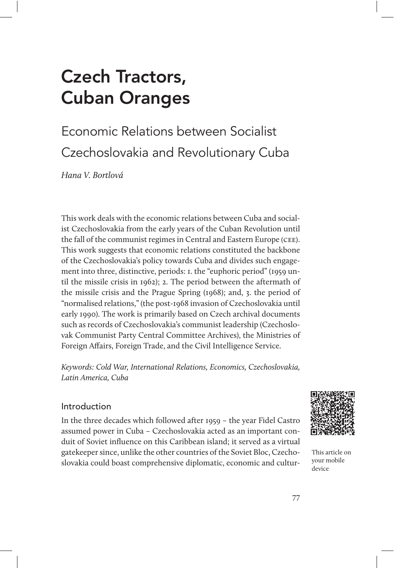# Czech Tractors, Cuban Oranges

## Economic Relations between Socialist Czechoslovakia and Revolutionary Cuba

Hana V. Bortlová

This work deals with the economic relations between Cuba and socialist Czechoslovakia from the early years of the Cuban Revolution until the fall of the communist regimes in Central and Eastern Europe (cee). This work suggests that economic relations constituted the backbone of the Czechoslovakia's policy towards Cuba and divides such engagement into three, distinctive, periods: 1. the "euphoric period" (1959 until the missile crisis in 1962); 2. The period between the aftermath of the missile crisis and the Prague Spring (1968); and, 3. the period of "normalised relations," (the post-1968 invasion of Czechoslovakia until early 1990). The work is primarily based on Czech archival documents such as records of Czechoslovakia's communist leadership (Czechoslovak Communist Party Central Committee Archives), the Ministries of Foreign Affairs, Foreign Trade, and the Civil Intelligence Service.

Keywords: Cold War, International Relations, Economics, Czechoslovakia, Latin America, Cuba

#### Introduction

In the three decades which followed after 1959 – the year Fidel Castro assumed power in Cuba – Czechoslovakia acted as an important conduit of Soviet influence on this Caribbean island; it served as a virtual gatekeeper since, unlike the other countries of the Soviet Bloc, Czechoslovakia could boast comprehensive diplomatic, economic and cultur-



This article on your mobile device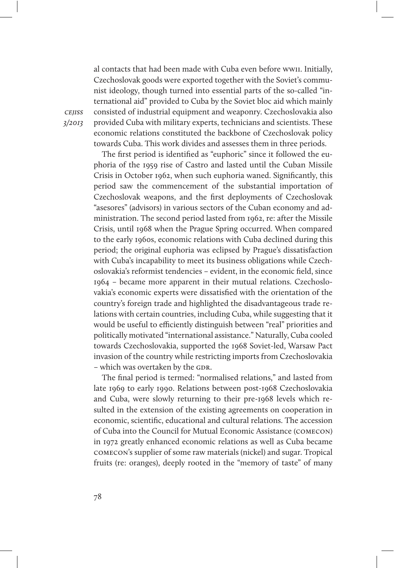al contacts that had been made with Cuba even before wwii. Initially, Czechoslovak goods were exported together with the Soviet's communist ideology, though turned into essential parts of the so-called "international aid" provided to Cuba by the Soviet bloc aid which mainly consisted of industrial equipment and weaponry. Czechoslovakia also provided Cuba with military experts, technicians and scientists. These economic relations constituted the backbone of Czechoslovak policy towards Cuba. This work divides and assesses them in three periods.

The first period is identified as "euphoric" since it followed the euphoria of the 1959 rise of Castro and lasted until the Cuban Missile Crisis in October 1962, when such euphoria waned. Significantly, this period saw the commencement of the substantial importation of Czechoslovak weapons, and the first deployments of Czechoslovak "asesores" (advisors) in various sectors of the Cuban economy and administration. The second period lasted from 1962, re: after the Missile Crisis, until 1968 when the Prague Spring occurred. When compared to the early 1960s, economic relations with Cuba declined during this period; the original euphoria was eclipsed by Prague's dissatisfaction with Cuba's incapability to meet its business obligations while Czechoslovakia's reformist tendencies – evident, in the economic field, since 1964 – became more apparent in their mutual relations. Czechoslovakia's economic experts were dissatisfied with the orientation of the country's foreign trade and highlighted the disadvantageous trade relations with certain countries, including Cuba, while suggesting that it would be useful to efficiently distinguish between "real" priorities and politically motivated "international assistance." Naturally, Cuba cooled towards Czechoslovakia, supported the 1968 Soviet-led, Warsaw Pact invasion of the country while restricting imports from Czechoslovakia - which was overtaken by the GDR.

The final period is termed: "normalised relations," and lasted from late 1969 to early 1990. Relations between post-1968 Czechoslovakia and Cuba, were slowly returning to their pre-1968 levels which resulted in the extension of the existing agreements on cooperation in economic, scientific, educational and cultural relations. The accession of Cuba into the Council for Mutual Economic Assistance (comecon) in 1972 greatly enhanced economic relations as well as Cuba became comecon's supplier of some raw materials (nickel) and sugar. Tropical fruits (re: oranges), deeply rooted in the "memory of taste" of many

**CEIISS** 3/2013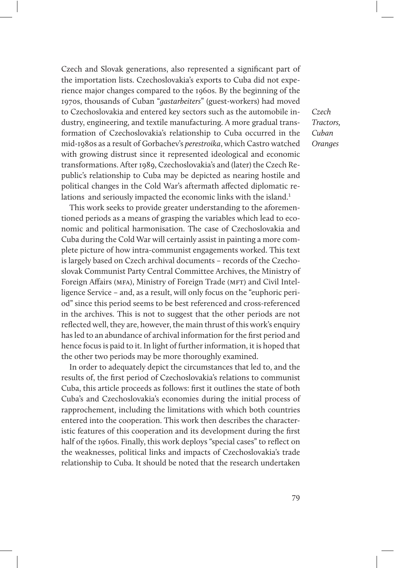Czech and Slovak generations, also represented a significant part of the importation lists. Czechoslovakia's exports to Cuba did not experience major changes compared to the 1960s. By the beginning of the 1970s, thousands of Cuban "gastarbeiters" (guest-workers) had moved to Czechoslovakia and entered key sectors such as the automobile industry, engineering, and textile manufacturing. A more gradual transformation of Czechoslovakia's relationship to Cuba occurred in the mid-1980s as a result of Gorbachev's perestroika, which Castro watched with growing distrust since it represented ideological and economic transformations. After 1989, Czechoslovakia's and (later) the Czech Republic's relationship to Cuba may be depicted as nearing hostile and political changes in the Cold War's aftermath affected diplomatic relations and seriously impacted the economic links with the island.<sup>1</sup>

This work seeks to provide greater understanding to the aforementioned periods as a means of grasping the variables which lead to economic and political harmonisation. The case of Czechoslovakia and Cuba during the Cold War will certainly assist in painting a more complete picture of how intra-communist engagements worked. This text is largely based on Czech archival documents – records of the Czechoslovak Communist Party Central Committee Archives, the Ministry of Foreign Affairs (MFA), Ministry of Foreign Trade (MFT) and Civil Intelligence Service – and, as a result, will only focus on the "euphoric period" since this period seems to be best referenced and cross-referenced in the archives. This is not to suggest that the other periods are not reflected well, they are, however, the main thrust of this work's enquiry has led to an abundance of archival information for the first period and hence focus is paid to it. In light of further information, it is hoped that the other two periods may be more thoroughly examined.

In order to adequately depict the circumstances that led to, and the results of, the first period of Czechoslovakia's relations to communist Cuba, this article proceeds as follows: first it outlines the state of both Cuba's and Czechoslovakia's economies during the initial process of rapprochement, including the limitations with which both countries entered into the cooperation. This work then describes the characteristic features of this cooperation and its development during the first half of the 1960s. Finally, this work deploys "special cases" to reflect on the weaknesses, political links and impacts of Czechoslovakia's trade relationship to Cuba. It should be noted that the research undertaken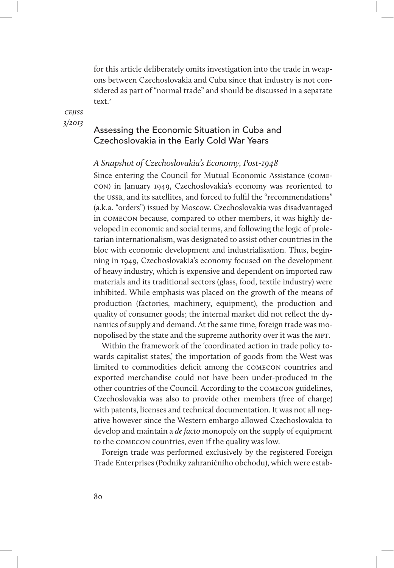for this article deliberately omits investigation into the trade in weapons between Czechoslovakia and Cuba since that industry is not considered as part of "normal trade" and should be discussed in a separate text $2$ 

**CEIISS** 3/2013

### Assessing the Economic Situation in Cuba and Czechoslovakia in the Early Cold War Years

#### A Snapshot of Czechoslovakia's Economy, Post-1948

Since entering the Council for Mutual Economic Assistance (comecon) in January 1949, Czechoslovakia's economy was reoriented to the ussr, and its satellites, and forced to fulfil the "recommendations" (a.k.a. "orders") issued by Moscow. Czechoslovakia was disadvantaged in comecon because, compared to other members, it was highly developed in economic and social terms, and following the logic of proletarian internationalism, was designated to assist other countries in the bloc with economic development and industrialisation. Thus, beginning in 1949, Czechoslovakia's economy focused on the development of heavy industry, which is expensive and dependent on imported raw materials and its traditional sectors (glass, food, textile industry) were inhibited. While emphasis was placed on the growth of the means of production (factories, machinery, equipment), the production and quality of consumer goods; the internal market did not reflect the dynamics of supply and demand. At the same time, foreign trade was monopolised by the state and the supreme authority over it was the MFT.

Within the framework of the 'coordinated action in trade policy towards capitalist states,' the importation of goods from the West was limited to commodities deficit among the comecon countries and exported merchandise could not have been under-produced in the other countries of the Council. According to the comecon guidelines, Czechoslovakia was also to provide other members (free of charge) with patents, licenses and technical documentation. It was not all negative however since the Western embargo allowed Czechoslovakia to develop and maintain a *de facto* monopoly on the supply of equipment to the comecon countries, even if the quality was low.

Foreign trade was performed exclusively by the registered Foreign Trade Enterprises (Podniky zahraničního obchodu), which were estab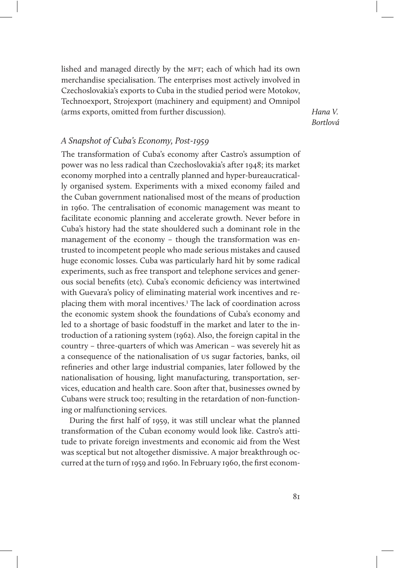lished and managed directly by the MFT; each of which had its own merchandise specialisation. The enterprises most actively involved in Czechoslovakia's exports to Cuba in the studied period were Motokov, Technoexport, Strojexport (machinery and equipment) and Omnipol (arms exports, omitted from further discussion).

Hana V. Bortlová

#### A Snapshot of Cuba's Economy, Post-1959

The transformation of Cuba's economy after Castro's assumption of power was no less radical than Czechoslovakia's after 1948; its market economy morphed into a centrally planned and hyper-bureaucratically organised system. Experiments with a mixed economy failed and the Cuban government nationalised most of the means of production in 1960. The centralisation of economic management was meant to facilitate economic planning and accelerate growth. Never before in Cuba's history had the state shouldered such a dominant role in the management of the economy – though the transformation was entrusted to incompetent people who made serious mistakes and caused huge economic losses. Cuba was particularly hard hit by some radical experiments, such as free transport and telephone services and generous social benefits (etc). Cuba's economic deficiency was intertwined with Guevara's policy of eliminating material work incentives and replacing them with moral incentives.<sup>3</sup> The lack of coordination across the economic system shook the foundations of Cuba's economy and led to a shortage of basic foodstuff in the market and later to the introduction of a rationing system (1962). Also, the foreign capital in the country – three-quarters of which was American – was severely hit as a consequence of the nationalisation of us sugar factories, banks, oil refineries and other large industrial companies, later followed by the nationalisation of housing, light manufacturing, transportation, services, education and health care. Soon after that, businesses owned by Cubans were struck too; resulting in the retardation of non-functioning or malfunctioning services.

During the first half of 1959, it was still unclear what the planned transformation of the Cuban economy would look like. Castro's attitude to private foreign investments and economic aid from the West was sceptical but not altogether dismissive. A major breakthrough occurred at the turn of 1959 and 1960. In February 1960, the first econom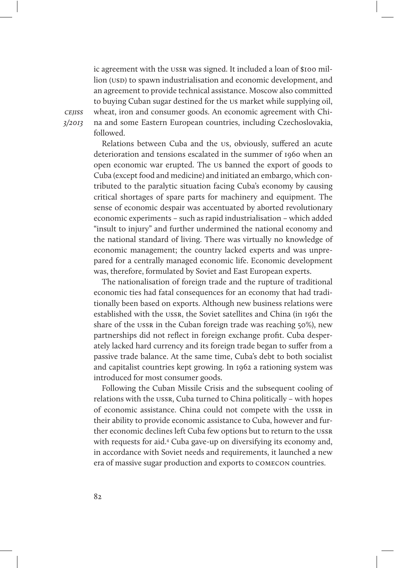ic agreement with the ussr was signed. It included a loan of \$100 million (USD) to spawn industrialisation and economic development, and an agreement to provide technical assistance. Moscow also committed to buying Cuban sugar destined for the us market while supplying oil, wheat, iron and consumer goods. An economic agreement with China and some Eastern European countries, including Czechoslovakia, followed.

cejiss 3/2013

> Relations between Cuba and the us, obviously, suffered an acute deterioration and tensions escalated in the summer of 1960 when an open economic war erupted. The us banned the export of goods to Cuba (except food and medicine) and initiated an embargo, which contributed to the paralytic situation facing Cuba's economy by causing critical shortages of spare parts for machinery and equipment. The sense of economic despair was accentuated by aborted revolutionary economic experiments – such as rapid industrialisation – which added "insult to injury" and further undermined the national economy and the national standard of living. There was virtually no knowledge of economic management; the country lacked experts and was unprepared for a centrally managed economic life. Economic development was, therefore, formulated by Soviet and East European experts.

> The nationalisation of foreign trade and the rupture of traditional economic ties had fatal consequences for an economy that had traditionally been based on exports. Although new business relations were established with the ussr, the Soviet satellites and China (in 1961 the share of the ussr in the Cuban foreign trade was reaching 50%), new partnerships did not reflect in foreign exchange profit. Cuba desperately lacked hard currency and its foreign trade began to suffer from a passive trade balance. At the same time, Cuba's debt to both socialist and capitalist countries kept growing. In 1962 a rationing system was introduced for most consumer goods.

> Following the Cuban Missile Crisis and the subsequent cooling of relations with the ussr, Cuba turned to China politically – with hopes of economic assistance. China could not compete with the ussr in their ability to provide economic assistance to Cuba, however and further economic declines left Cuba few options but to return to the ussr with requests for aid.4 Cuba gave-up on diversifying its economy and, in accordance with Soviet needs and requirements, it launched a new era of massive sugar production and exports to comecon countries.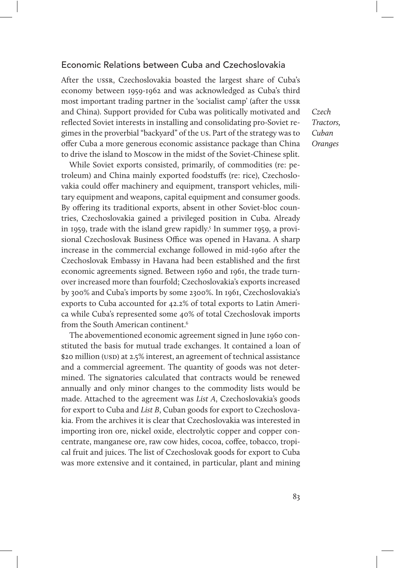#### Economic Relations between Cuba and Czechoslovakia

After the ussr, Czechoslovakia boasted the largest share of Cuba's economy between 1959-1962 and was acknowledged as Cuba's third most important trading partner in the 'socialist camp' (after the ussr and China). Support provided for Cuba was politically motivated and reflected Soviet interests in installing and consolidating pro-Soviet regimes in the proverbial "backyard" of the us. Part of the strategy was to offer Cuba a more generous economic assistance package than China to drive the island to Moscow in the midst of the Soviet-Chinese split.

While Soviet exports consisted, primarily, of commodities (re: petroleum) and China mainly exported foodstuffs (re: rice), Czechoslovakia could offer machinery and equipment, transport vehicles, military equipment and weapons, capital equipment and consumer goods. By offering its traditional exports, absent in other Soviet-bloc countries, Czechoslovakia gained a privileged position in Cuba. Already in 1959, trade with the island grew rapidly.5 In summer 1959, a provisional Czechoslovak Business Office was opened in Havana. A sharp increase in the commercial exchange followed in mid-1960 after the Czechoslovak Embassy in Havana had been established and the first economic agreements signed. Between 1960 and 1961, the trade turnover increased more than fourfold; Czechoslovakia's exports increased by 300% and Cuba's imports by some 2300%. In 1961, Czechoslovakia's exports to Cuba accounted for 42.2% of total exports to Latin America while Cuba's represented some 40% of total Czechoslovak imports from the South American continent.6

The abovementioned economic agreement signed in June 1960 constituted the basis for mutual trade exchanges. It contained a loan of \$20 million (USD) at 2.5% interest, an agreement of technical assistance and a commercial agreement. The quantity of goods was not determined. The signatories calculated that contracts would be renewed annually and only minor changes to the commodity lists would be made. Attached to the agreement was List A, Czechoslovakia's goods for export to Cuba and List B, Cuban goods for export to Czechoslovakia. From the archives it is clear that Czechoslovakia was interested in importing iron ore, nickel oxide, electrolytic copper and copper concentrate, manganese ore, raw cow hides, cocoa, coffee, tobacco, tropical fruit and juices. The list of Czechoslovak goods for export to Cuba was more extensive and it contained, in particular, plant and mining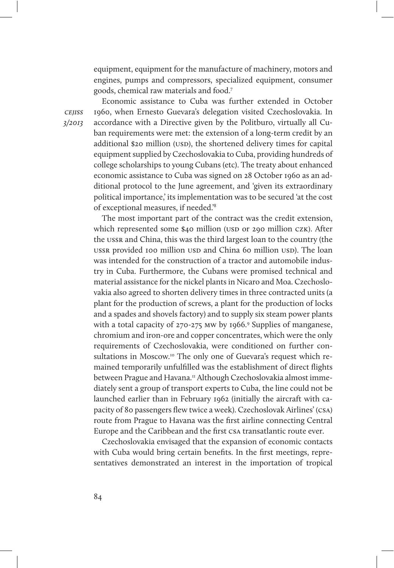equipment, equipment for the manufacture of machinery, motors and engines, pumps and compressors, specialized equipment, consumer goods, chemical raw materials and food.7

**CEIISS** 3/2013

Economic assistance to Cuba was further extended in October 1960, when Ernesto Guevara's delegation visited Czechoslovakia. In accordance with a Directive given by the Politburo, virtually all Cuban requirements were met: the extension of a long-term credit by an additional \$20 million (USD), the shortened delivery times for capital equipment supplied by Czechoslovakia to Cuba, providing hundreds of college scholarships to young Cubans (etc). The treaty about enhanced economic assistance to Cuba was signed on 28 October 1960 as an additional protocol to the June agreement, and 'given its extraordinary political importance,' its implementation was to be secured 'at the cost of exceptional measures, if needed.'8

The most important part of the contract was the credit extension, which represented some \$40 million (USD or 290 million CZK). After the ussr and China, this was the third largest loan to the country (the ussr provided 100 million usp and China 60 million usp). The loan was intended for the construction of a tractor and automobile industry in Cuba. Furthermore, the Cubans were promised technical and material assistance for the nickel plants in Nicaro and Moa. Czechoslovakia also agreed to shorten delivery times in three contracted units (a plant for the production of screws, a plant for the production of locks and a spades and shovels factory) and to supply six steam power plants with a total capacity of 270-275 MW by 1966.<sup>9</sup> Supplies of manganese, chromium and iron-ore and copper concentrates, which were the only requirements of Czechoslovakia, were conditioned on further consultations in Moscow.<sup>10</sup> The only one of Guevara's request which remained temporarily unfulfilled was the establishment of direct flights between Prague and Havana.<sup>11</sup> Although Czechoslovakia almost immediately sent a group of transport experts to Cuba, the line could not be launched earlier than in February 1962 (initially the aircraft with capacity of 80 passengers flew twice a week). Czechoslovak Airlines' (csa) route from Prague to Havana was the first airline connecting Central Europe and the Caribbean and the first csa transatlantic route ever.

Czechoslovakia envisaged that the expansion of economic contacts with Cuba would bring certain benefits. In the first meetings, representatives demonstrated an interest in the importation of tropical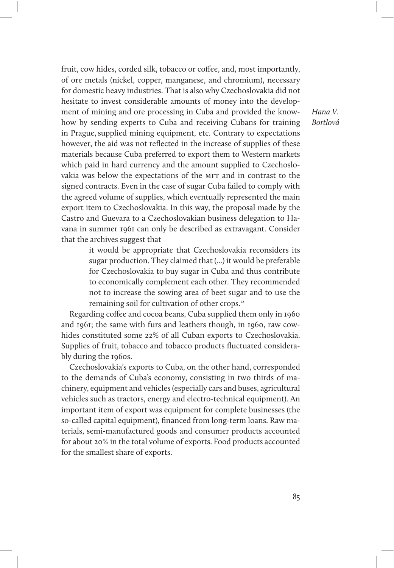fruit, cow hides, corded silk, tobacco or coffee, and, most importantly, of ore metals (nickel, copper, manganese, and chromium), necessary for domestic heavy industries. That is also why Czechoslovakia did not hesitate to invest considerable amounts of money into the development of mining and ore processing in Cuba and provided the knowhow by sending experts to Cuba and receiving Cubans for training in Prague, supplied mining equipment, etc. Contrary to expectations however, the aid was not reflected in the increase of supplies of these materials because Cuba preferred to export them to Western markets which paid in hard currency and the amount supplied to Czechoslovakia was below the expectations of the MFT and in contrast to the signed contracts. Even in the case of sugar Cuba failed to comply with the agreed volume of supplies, which eventually represented the main export item to Czechoslovakia. In this way, the proposal made by the Castro and Guevara to a Czechoslovakian business delegation to Havana in summer 1961 can only be described as extravagant. Consider that the archives suggest that

> it would be appropriate that Czechoslovakia reconsiders its sugar production. They claimed that (...) it would be preferable for Czechoslovakia to buy sugar in Cuba and thus contribute to economically complement each other. They recommended not to increase the sowing area of beet sugar and to use the remaining soil for cultivation of other crops.12

Regarding coffee and cocoa beans, Cuba supplied them only in 1960 and 1961; the same with furs and leathers though, in 1960, raw cowhides constituted some 22% of all Cuban exports to Czechoslovakia. Supplies of fruit, tobacco and tobacco products fluctuated considerably during the 1960s.

Czechoslovakia's exports to Cuba, on the other hand, corresponded to the demands of Cuba's economy, consisting in two thirds of machinery, equipment and vehicles (especially cars and buses, agricultural vehicles such as tractors, energy and electro-technical equipment). An important item of export was equipment for complete businesses (the so-called capital equipment), financed from long-term loans. Raw materials, semi-manufactured goods and consumer products accounted for about 20% in the total volume of exports. Food products accounted for the smallest share of exports.

Hana V. Bortlová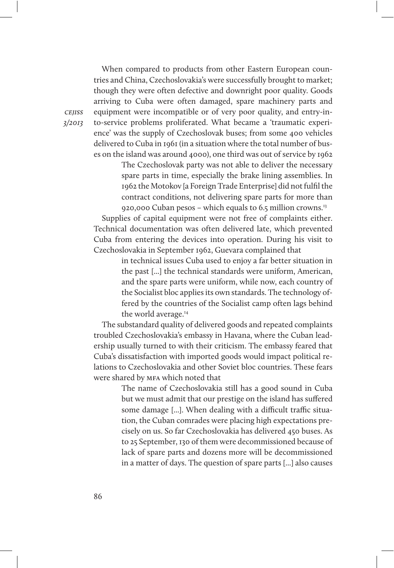When compared to products from other Eastern European countries and China, Czechoslovakia's were successfully brought to market; though they were often defective and downright poor quality. Goods arriving to Cuba were often damaged, spare machinery parts and equipment were incompatible or of very poor quality, and entry-into-service problems proliferated. What became a 'traumatic experience' was the supply of Czechoslovak buses; from some 400 vehicles delivered to Cuba in 1961 (in a situation where the total number of buses on the island was around 4000), one third was out of service by 1962

> The Czechoslovak party was not able to deliver the necessary spare parts in time, especially the brake lining assemblies. In 1962 the Motokov [a Foreign Trade Enterprise] did not fulfil the contract conditions, not delivering spare parts for more than 920,000 Cuban pesos – which equals to 6.5 million crowns.13

Supplies of capital equipment were not free of complaints either. Technical documentation was often delivered late, which prevented Cuba from entering the devices into operation. During his visit to Czechoslovakia in September 1962, Guevara complained that

> in technical issues Cuba used to enjoy a far better situation in the past [...] the technical standards were uniform, American, and the spare parts were uniform, while now, each country of the Socialist bloc applies its own standards. The technology offered by the countries of the Socialist camp often lags behind the world average.<sup>14</sup>

The substandard quality of delivered goods and repeated complaints troubled Czechoslovakia's embassy in Havana, where the Cuban leadership usually turned to with their criticism. The embassy feared that Cuba's dissatisfaction with imported goods would impact political relations to Czechoslovakia and other Soviet bloc countries. These fears were shared by MFA which noted that

> The name of Czechoslovakia still has a good sound in Cuba but we must admit that our prestige on the island has suffered some damage [...]. When dealing with a difficult traffic situation, the Cuban comrades were placing high expectations precisely on us. So far Czechoslovakia has delivered 450 buses. As to 25 September, 130 of them were decommissioned because of lack of spare parts and dozens more will be decommissioned in a matter of days. The question of spare parts [...] also causes

**CEIISS** 3/2013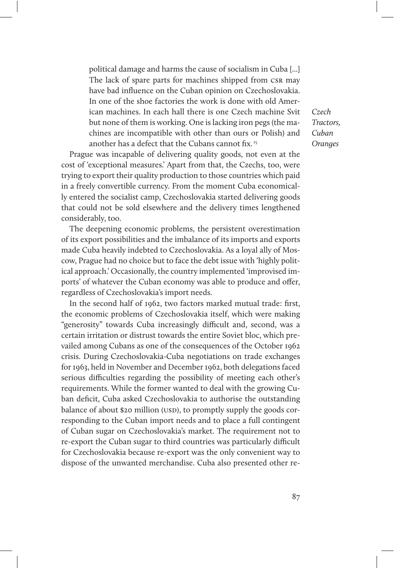political damage and harms the cause of socialism in Cuba [...] The lack of spare parts for machines shipped from CSR may have bad influence on the Cuban opinion on Czechoslovakia. In one of the shoe factories the work is done with old American machines. In each hall there is one Czech machine Svit but none of them is working. One is lacking iron pegs (the machines are incompatible with other than ours or Polish) and another has a defect that the Cubans cannot fix. 15

Prague was incapable of delivering quality goods, not even at the cost of 'exceptional measures.' Apart from that, the Czechs, too, were trying to export their quality production to those countries which paid in a freely convertible currency. From the moment Cuba economically entered the socialist camp, Czechoslovakia started delivering goods that could not be sold elsewhere and the delivery times lengthened considerably, too.

The deepening economic problems, the persistent overestimation of its export possibilities and the imbalance of its imports and exports made Cuba heavily indebted to Czechoslovakia. As a loyal ally of Moscow, Prague had no choice but to face the debt issue with 'highly political approach.' Occasionally, the country implemented 'improvised imports' of whatever the Cuban economy was able to produce and offer, regardless of Czechoslovakia's import needs.

In the second half of 1962, two factors marked mutual trade: first, the economic problems of Czechoslovakia itself, which were making "generosity" towards Cuba increasingly difficult and, second, was a certain irritation or distrust towards the entire Soviet bloc, which prevailed among Cubans as one of the consequences of the October 1962 crisis. During Czechoslovakia-Cuba negotiations on trade exchanges for 1963, held in November and December 1962, both delegations faced serious difficulties regarding the possibility of meeting each other's requirements. While the former wanted to deal with the growing Cuban deficit, Cuba asked Czechoslovakia to authorise the outstanding balance of about \$20 million (USD), to promptly supply the goods corresponding to the Cuban import needs and to place a full contingent of Cuban sugar on Czechoslovakia's market. The requirement not to re-export the Cuban sugar to third countries was particularly difficult for Czechoslovakia because re-export was the only convenient way to dispose of the unwanted merchandise. Cuba also presented other re-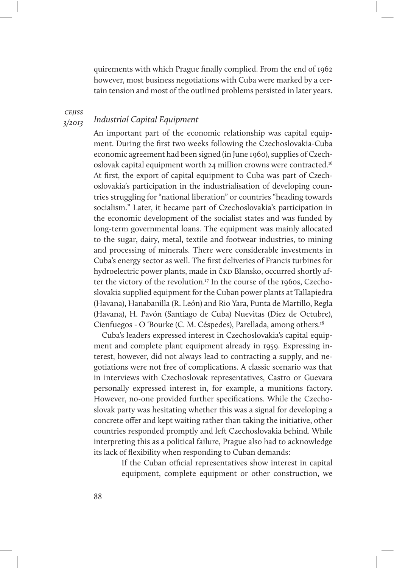quirements with which Prague finally complied. From the end of 1962 however, most business negotiations with Cuba were marked by a certain tension and most of the outlined problems persisted in later years.

cejiss

#### 3/2013 Industrial Capital Equipment

An important part of the economic relationship was capital equipment. During the first two weeks following the Czechoslovakia-Cuba economic agreement had been signed (in June 1960), supplies of Czechoslovak capital equipment worth 24 million crowns were contracted.16 At first, the export of capital equipment to Cuba was part of Czechoslovakia's participation in the industrialisation of developing countries struggling for "national liberation" or countries "heading towards socialism." Later, it became part of Czechoslovakia's participation in the economic development of the socialist states and was funded by long-term governmental loans. The equipment was mainly allocated to the sugar, dairy, metal, textile and footwear industries, to mining and processing of minerals. There were considerable investments in Cuba's energy sector as well. The first deliveries of Francis turbines for hydroelectric power plants, made in čkD Blansko, occurred shortly after the victory of the revolution.<sup>17</sup> In the course of the 1960s, Czechoslovakia supplied equipment for the Cuban power plants at Tallapiedra (Havana), Hanabanilla (R. León) and Rio Yara, Punta de Martillo, Regla (Havana), H. Pavón (Santiago de Cuba) Nuevitas (Diez de Octubre), Cienfuegos - O 'Bourke (C. M. Céspedes), Parellada, among others.18

Cuba's leaders expressed interest in Czechoslovakia's capital equipment and complete plant equipment already in 1959. Expressing interest, however, did not always lead to contracting a supply, and negotiations were not free of complications. A classic scenario was that in interviews with Czechoslovak representatives, Castro or Guevara personally expressed interest in, for example, a munitions factory. However, no-one provided further specifications. While the Czechoslovak party was hesitating whether this was a signal for developing a concrete offer and kept waiting rather than taking the initiative, other countries responded promptly and left Czechoslovakia behind. While interpreting this as a political failure, Prague also had to acknowledge its lack of flexibility when responding to Cuban demands:

> If the Cuban official representatives show interest in capital equipment, complete equipment or other construction, we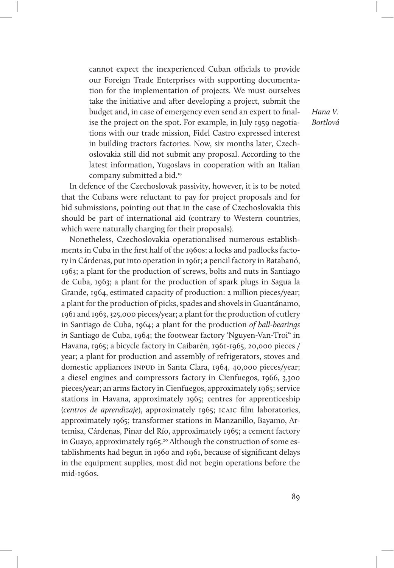cannot expect the inexperienced Cuban officials to provide our Foreign Trade Enterprises with supporting documentation for the implementation of projects. We must ourselves take the initiative and after developing a project, submit the budget and, in case of emergency even send an expert to finalise the project on the spot. For example, in July 1959 negotiations with our trade mission, Fidel Castro expressed interest in building tractors factories. Now, six months later, Czechoslovakia still did not submit any proposal. According to the latest information, Yugoslavs in cooperation with an Italian company submitted a bid.<sup>19</sup>

In defence of the Czechoslovak passivity, however, it is to be noted that the Cubans were reluctant to pay for project proposals and for bid submissions, pointing out that in the case of Czechoslovakia this should be part of international aid (contrary to Western countries, which were naturally charging for their proposals).

Nonetheless, Czechoslovakia operationalised numerous establishments in Cuba in the first half of the 1960s: a locks and padlocks factory in Cárdenas, put into operation in 1961; a pencil factory in Batabanó, 1963; a plant for the production of screws, bolts and nuts in Santiago de Cuba, 1963; a plant for the production of spark plugs in Sagua la Grande, 1964, estimated capacity of production: 2 million pieces/year; a plant for the production of picks, spades and shovels in Guantánamo, 1961 and 1963, 325,000 pieces/year; a plant for the production of cutlery in Santiago de Cuba, 1964; a plant for the production of ball-bearings in Santiago de Cuba, 1964; the footwear factory 'Nguyen-Van-Troi" in Havana, 1965; a bicycle factory in Caibarén, 1961-1965, 20,000 pieces / year; a plant for production and assembly of refrigerators, stoves and domestic appliances INPUD in Santa Clara, 1964, 40,000 pieces/year; a diesel engines and compressors factory in Cienfuegos, 1966, 3,300 pieces/year; an arms factory in Cienfuegos, approximately 1965; service stations in Havana, approximately 1965; centres for apprenticeship (centros de aprendizaje), approximately 1965; icaic film laboratories, approximately 1965; transformer stations in Manzanillo, Bayamo, Artemisa, Cárdenas, Pinar del Río, approximately 1965; a cement factory in Guayo, approximately 1965.<sup>20</sup> Although the construction of some establishments had begun in 1960 and 1961, because of significant delays in the equipment supplies, most did not begin operations before the mid-1960s.

Hana V. Bortlová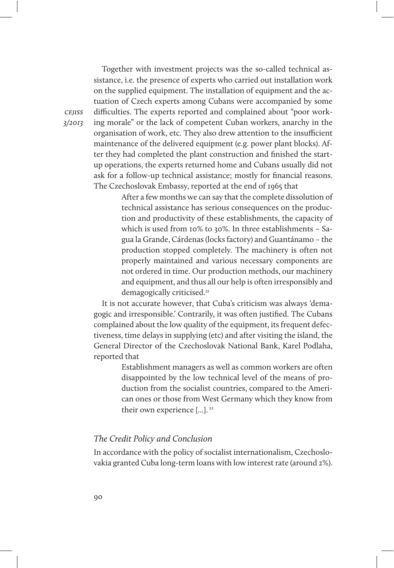Together with investment projects was the so-called technical assistance, i.e. the presence of experts who carried out installation work on the supplied equipment. The installation of equipment and the actuation of Czech experts among Cubans were accompanied by some difficulties. The experts reported and complained about "poor working morale" or the lack of competent Cuban workers, anarchy in the organisation of work, etc. They also drew attention to the insufficient maintenance of the delivered equipment (e.g. power plant blocks). After they had completed the plant construction and finished the startup operations, the experts returned home and Cubans usually did not ask for a follow-up technical assistance; mostly for financial reasons. The Czechoslovak Embassy, reported at the end of 1965 that

> After a few months we can say that the complete dissolution of technical assistance has serious consequences on the production and productivity of these establishments, the capacity of which is used from 10% to 30%. In three establishments – Sagua la Grande, Cárdenas (locks factory) and Guantánamo – the production stopped completely. The machinery is often not properly maintained and various necessary components are not ordered in time. Our production methods, our machinery and equipment, and thus all our help is often irresponsibly and demagogically criticised.<sup>21</sup>

It is not accurate however, that Cuba's criticism was always 'demagogic and irresponsible.' Contrarily, it was often justified. The Cubans complained about the low quality of the equipment, its frequent defectiveness, time delays in supplying (etc) and after visiting the island, the General Director of the Czechoslovak National Bank, Karel Podlaha, reported that

> Establishment managers as well as common workers are often disappointed by the low technical level of the means of production from the socialist countries, compared to the American ones or those from West Germany which they know from their own experience [...].<sup>22</sup>

#### The Credit Policy and Conclusion

In accordance with the policy of socialist internationalism, Czechoslovakia granted Cuba long-term loans with low interest rate (around 2%).

cejiss 3/2013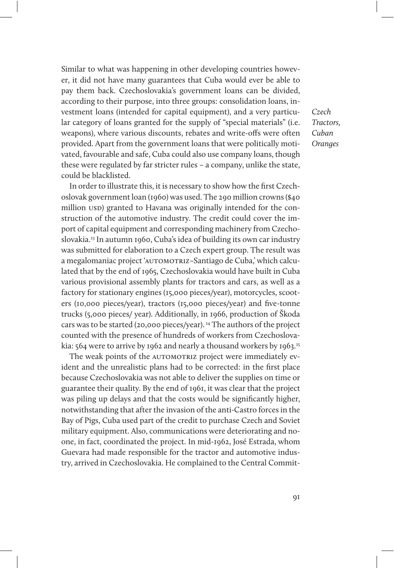Similar to what was happening in other developing countries however, it did not have many guarantees that Cuba would ever be able to pay them back. Czechoslovakia's government loans can be divided, according to their purpose, into three groups: consolidation loans, investment loans (intended for capital equipment), and a very particular category of loans granted for the supply of "special materials" (i.e. weapons), where various discounts, rebates and write-offs were often provided. Apart from the government loans that were politically motivated, favourable and safe, Cuba could also use company loans, though these were regulated by far stricter rules – a company, unlike the state, could be blacklisted.

In order to illustrate this, it is necessary to show how the first Czechoslovak government loan (1960) was used. The 290 million crowns (\$40 million usp) granted to Havana was originally intended for the construction of the automotive industry. The credit could cover the import of capital equipment and corresponding machinery from Czechoslovakia.23 In autumn 1960, Cuba's idea of building its own car industry was submitted for elaboration to a Czech expert group. The result was a megalomaniac project 'AUTOMOTRIZ-Santiago de Cuba,' which calculated that by the end of 1965, Czechoslovakia would have built in Cuba various provisional assembly plants for tractors and cars, as well as a factory for stationary engines (15,000 pieces/year), motorcycles, scooters (10,000 pieces/year), tractors (15,000 pieces/year) and five-tonne trucks (5,000 pieces/ year). Additionally, in 1966, production of Škoda cars was to be started (20,000 pieces/year). 24 The authors of the project counted with the presence of hundreds of workers from Czechoslovakia: 564 were to arrive by 1962 and nearly a thousand workers by 1963.<sup>25</sup>

The weak points of the AUTOMOTRIZ project were immediately evident and the unrealistic plans had to be corrected: in the first place because Czechoslovakia was not able to deliver the supplies on time or guarantee their quality. By the end of 1961, it was clear that the project was piling up delays and that the costs would be significantly higher, notwithstanding that after the invasion of the anti-Castro forces in the Bay of Pigs, Cuba used part of the credit to purchase Czech and Soviet military equipment. Also, communications were deteriorating and noone, in fact, coordinated the project. In mid-1962, José Estrada, whom Guevara had made responsible for the tractor and automotive industry, arrived in Czechoslovakia. He complained to the Central Commit-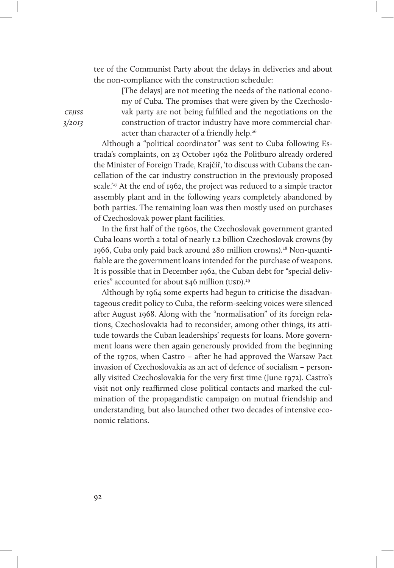tee of the Communist Party about the delays in deliveries and about the non-compliance with the construction schedule:

> [The delays] are not meeting the needs of the national economy of Cuba. The promises that were given by the Czechoslovak party are not being fulfilled and the negotiations on the construction of tractor industry have more commercial character than character of a friendly help.<sup>26</sup>

Although a "political coordinator" was sent to Cuba following Estrada's complaints, on 23 October 1962 the Politburo already ordered the Minister of Foreign Trade, Krajčíř, 'to discuss with Cubans the cancellation of the car industry construction in the previously proposed scale.'<sup>27</sup> At the end of 1962, the project was reduced to a simple tractor assembly plant and in the following years completely abandoned by both parties. The remaining loan was then mostly used on purchases of Czechoslovak power plant facilities.

In the first half of the 1960s, the Czechoslovak government granted Cuba loans worth a total of nearly 1.2 billion Czechoslovak crowns (by 1966, Cuba only paid back around 280 million crowns).28 Non-quantifiable are the government loans intended for the purchase of weapons. It is possible that in December 1962, the Cuban debt for "special deliveries" accounted for about \$46 million (USD).<sup>29</sup>

Although by 1964 some experts had begun to criticise the disadvantageous credit policy to Cuba, the reform-seeking voices were silenced after August 1968. Along with the "normalisation" of its foreign relations, Czechoslovakia had to reconsider, among other things, its attitude towards the Cuban leaderships' requests for loans. More government loans were then again generously provided from the beginning of the 1970s, when Castro – after he had approved the Warsaw Pact invasion of Czechoslovakia as an act of defence of socialism – personally visited Czechoslovakia for the very first time (June 1972). Castro's visit not only reafrmed close political contacts and marked the culmination of the propagandistic campaign on mutual friendship and understanding, but also launched other two decades of intensive economic relations.

**CEJISS** 3/2013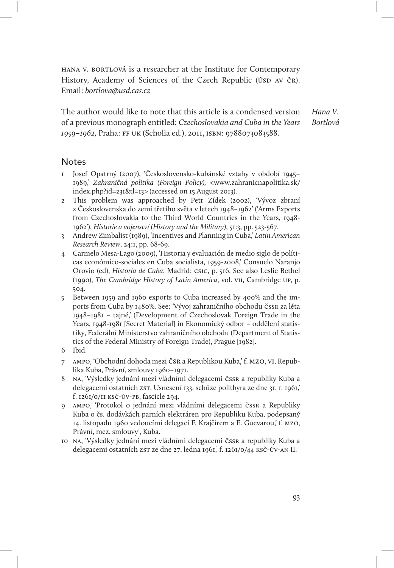hana v. bortlová is a researcher at the Institute for Contemporary History, Academy of Sciences of the Czech Republic (ÚSD AV ČR). Email: bortlova@usd.cas.cz

Hana V. Bortlová The author would like to note that this article is a condensed version of a previous monograph entitled: Czechoslovakia and Cuba in the Years 1959–1962, Praha: ff uk (Scholia ed.), 2011, isbn: 9788073083588.

#### **Notes**

- 1 Josef Opatrný (2007), 'Československo-kubánské vztahy v období 1945– 1989,' Zahraničná politika (Foreign Policy), <www.zahranicnapolitika.sk/ index.php?id=231&tl=13> (accessed on 15 August 2013).
- 2 This problem was approached by Petr Zídek (2002), 'Vývoz zbraní z Československa do zemí třetího světa v letech 1948–1962' ('Arms Exports from Czechoslovakia to the Third World Countries in the Years, 1948- 1962'), Historie a vojenství (History and the Military), 51:3, pp. 523-567.
- 3 Andrew Zimbalist (1989), 'Incentives and Planning in Cuba,' Latin American Research Review, 24:1, pp. 68-69.
- 4 Carmelo Mesa-Lago (2009), 'Historia y evaluación de medio siglo de políticas económico-sociales en Cuba socialista, 1959-2008,' Consuelo Naranjo Orovio (ed), Historia de Cuba, Madrid: csic, p. 516. See also Leslie Bethel (1990), The Cambridge History of Latin America, vol. vii, Cambridge up, p. 504.
- 5 Between 1959 and 1960 exports to Cuba increased by 400% and the imports from Cuba by 1480%. See: 'Vývoj zahraničního obchodu čssr za léta 1948–1981 – tajné,' (Development of Czechoslovak Foreign Trade in the Years, 1948-1981 [Secret Material] in Ekonomický odbor – oddělení statistiky, Federální Ministerstvo zahraničního obchodu (Department of Statistics of the Federal Ministry of Foreign Trade), Prague [1982].
- 6 Ibid.
- 7 ampo, 'Obchodní dohoda mezi čsr a Republikou Kuba,' f. mzo, vi, Republika Kuba, Právní, smlouvy 1960–1971.
- 8 na, 'Výsledky jednání mezi vládními delegacemi čssr a republiky Kuba a delegacemi ostatních zst. Usnesení 133. schůze politbyra ze dne 31. 1. 1961, f. 1261/0/11 ksč-úv-pb, fascicle 294.
- 9 ampo, 'Protokol o jednání mezi vládními delegacemi čssr a Republiky Kuba o čs. dodávkách parních elektráren pro Republiku Kuba, podepsaný 14. listopadu 1960 vedoucími delegací F. Krajčírem a E. Guevarou,' f. mzo, Právní, mez. smlouvy', Kuba.
- 10 na, 'Výsledky jednání mezi vládními delegacemi čssr a republiky Kuba a delegacemi ostatních zs $\tau$  ze dne 27. ledna 1961,' f. 1261/0/44 ksč-úv-an II.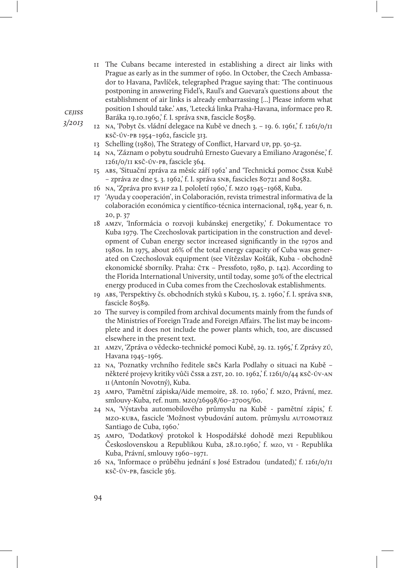11 The Cubans became interested in establishing a direct air links with Prague as early as in the summer of 1960. In October, the Czech Ambassador to Havana, Pavlíček, telegraphed Prague saying that: 'The continuous postponing in answering Fidel's, Raul's and Guevara's questions about the establishment of air links is already embarrassing [...] Please inform what position I should take.' abs, 'Letecká linka Praha-Havana, informace pro R. Baráka 19.10.1960,' f. I. správa snb, fascicle 80589.

cejiss 3/2013

- 12 na, 'Pobyt čs. vládní delegace na Kubě ve dnech 3. 19. 6. 1961,' f. 1261/0/11 ksč-úv-pb 1954–1962, fascicle 313.
- 13 Schelling (1980), The Strategy of Conflict, Harvard up, pp. 50-52.
- 14 na, 'Záznam o pobytu soudruhů Ernesto Guevary a Emiliano Aragonése,' f. 1261/0/11 ksč-úv-pb, fascicle 364.
- 15 abs, 'Situační zpráva za měsíc září 1962' and 'Technická pomoc čssr Kubě – zpráva ze dne 5. 3. 1962,' f. I. správa snb, fascicles 80721 and 80582.
- 16 na, 'Zpráva pro rvhp za I. pololetí 1960,' f. mzo 1945–1968, Kuba.
- 17 'Ayuda y cooperación', in Colaboración, revista trimestral informativa de la colaboración económica y científico-técnica internacional, 1984, year 6, n. 20, p. 37
- 18 amzv, 'Informácia o rozvoji kubánskej energetiky,' f. Dokumentace to Kuba 1979. The Czechoslovak participation in the construction and development of Cuban energy sector increased significantly in the 1970s and 1980s. In 1975, about 26% of the total energy capacity of Cuba was generated on Czechoslovak equipment (see Vítězslav Košťák, Kuba - obchodně ekonomické sborníky. Praha: č $Tx -$  Pressfoto, 1980, p. 142). According to the Florida International University, until today, some 30% of the electrical energy produced in Cuba comes from the Czechoslovak establishments.
- 19 abs, 'Perspektivy čs. obchodních styků s Kubou, 15. 2. 1960,' f. I. správa snb, fascicle 80589.
- 20 The survey is compiled from archival documents mainly from the funds of the Ministries of Foreign Trade and Foreign Affairs. The list may be incomplete and it does not include the power plants which, too, are discussed elsewhere in the present text.
- 21 amzv, 'Zpráva o vědecko-technické pomoci Kubě, 29. 12. 1965,' f. Zprávy zú, Havana 1945–1965.
- 22 na, 'Poznatky vrchního ředitele sbčs Karla Podlahy o situaci na Kubě některé projevy kritiky vůči čssr a zst, 20. 10. 1962,' f. 1261/0/44 Ksč-ÚV-AN ii (Antonín Novotný), Kuba.
- 23 ampo, 'Pamětní zápiska/Aide memoire, 28. 10. 1960,' f. mzo, Právní, mez. smlouvy-Kuba, ref. num. mzo/26998/60–27005/60.
- 24 na, 'Výstavba automobilového průmyslu na Kubě pamětní zápis,' f. mzo-kuba, fascicle 'Možnost vybudování autom. průmyslu automotriz Santiago de Cuba, 1960.'
- 25 ampo, 'Dodatkový protokol k Hospodářské dohodě mezi Republikou Československou a Republikou Kuba, 28.10.1960,' f. mzo, vi - Republika Kuba, Právní, smlouvy 1960–1971.
- 26 na, 'Informace o průběhu jednání s José Estradou (undated),' f. 1261/0/11 ksč-úv-pb, fascicle 363.